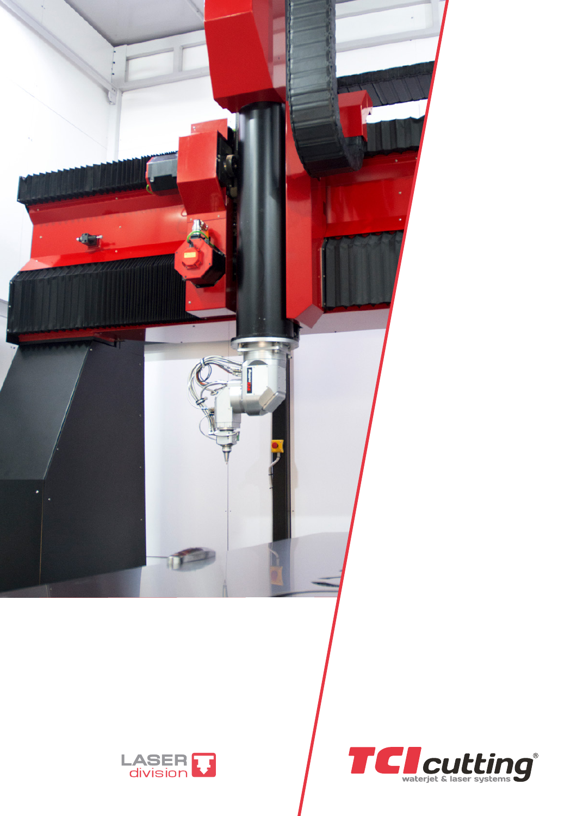



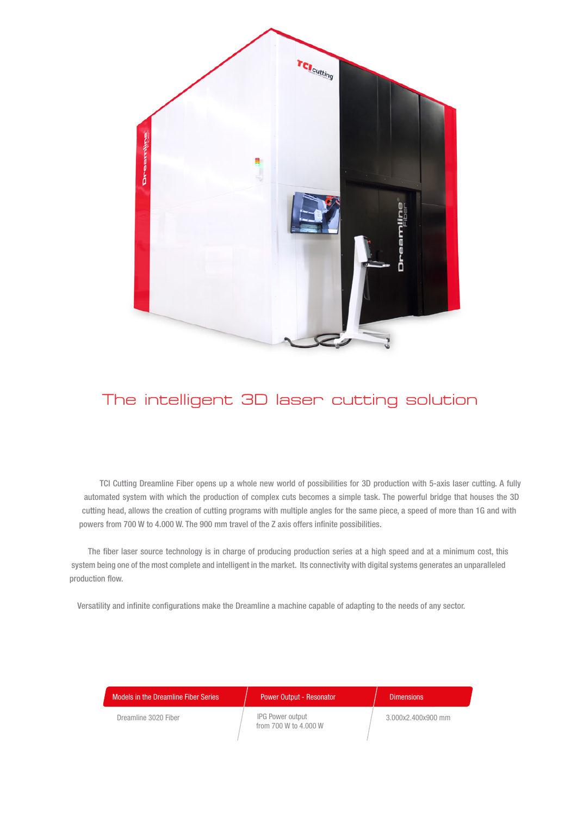

## The intelligent 3D laser cutting solution

TCI Cutting Dreamline Fiber opens up a whole new world of possibilities for 3D production with 5-axis laser cutting. A fully automated system with which the production of complex cuts becomes a simple task. The powerful bridge that houses the 3D cutting head, allows the creation of cutting programs with multiple angles for the same piece, a speed of more than 1G and with powers from 700 W to 4.000 W. The 900 mm travel of the Z axis offers infinite possibilities.

The fiber laser source technology is in charge of producing production series at a high speed and at a minimum cost, this system being one of the most complete and intelligent in the market. Its connectivity with digital systems generates an unparalleled production flow.

Versatility and infinite configurations make the Dreamline a machine capable of adapting to the needs of any sector.

| Models in the Dreamline Fiber Series | <b>Power Output - Resonator</b>           | <b>Dimensions</b>  |
|--------------------------------------|-------------------------------------------|--------------------|
| Dreamline 3020 Fiber                 | IPG Power output<br>from 700 W to 4,000 W | 3.000x2.400x900 mm |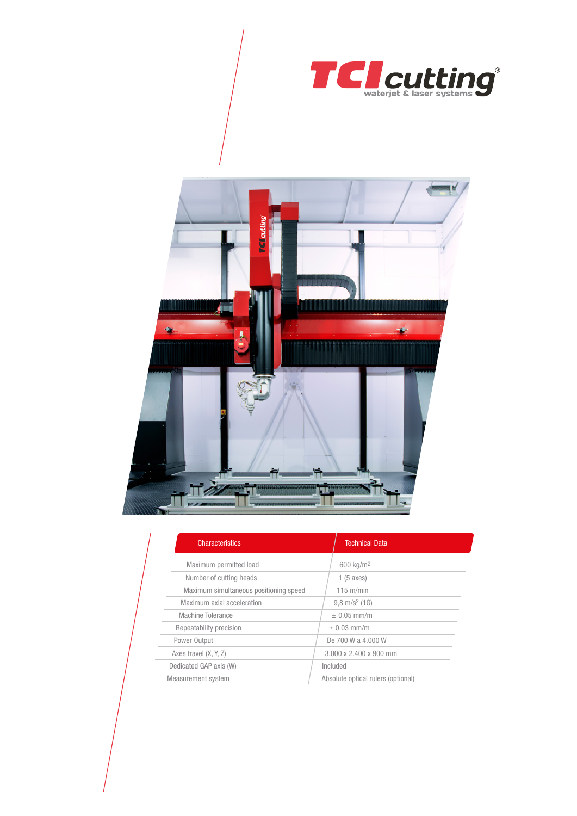



| <b>Characteristics</b>                 | <b>Technical Data</b>              |
|----------------------------------------|------------------------------------|
| Maximum permitted load                 | 600 kg/m <sup>2</sup>              |
| Number of cutting heads                | 1(5 axes)                          |
| Maximum simultaneous positioning speed | $115 \text{ m/min}$                |
| Maximum axial acceleration             | $9.8 \text{ m/s}^2$ (1G)           |
| Machine Tolerance                      | $\pm$ 0.05 mm/m                    |
| Repeatability precision                | $\pm$ 0.03 mm/m                    |
| Power Output                           | De 700 W a 4,000 W                 |
| Axes travel (X, Y, Z)                  | 3.000 x 2.400 x 900 mm             |
| Dedicated GAP axis (W)                 | Included                           |
| Measurement system                     | Absolute optical rulers (optional) |